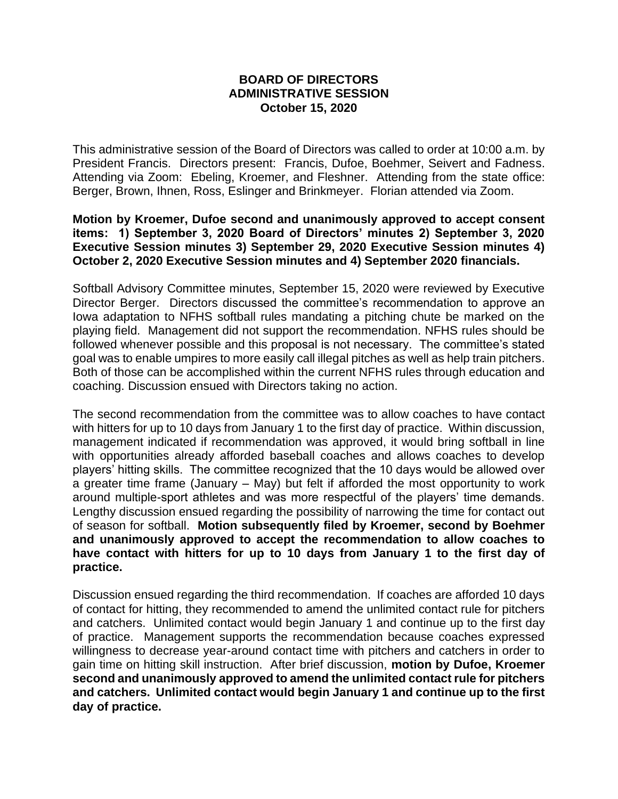## **BOARD OF DIRECTORS ADMINISTRATIVE SESSION October 15, 2020**

This administrative session of the Board of Directors was called to order at 10:00 a.m. by President Francis. Directors present: Francis, Dufoe, Boehmer, Seivert and Fadness. Attending via Zoom: Ebeling, Kroemer, and Fleshner. Attending from the state office: Berger, Brown, Ihnen, Ross, Eslinger and Brinkmeyer. Florian attended via Zoom.

**Motion by Kroemer, Dufoe second and unanimously approved to accept consent items: 1) September 3, 2020 Board of Directors' minutes 2) September 3, 2020 Executive Session minutes 3) September 29, 2020 Executive Session minutes 4) October 2, 2020 Executive Session minutes and 4) September 2020 financials.**

Softball Advisory Committee minutes, September 15, 2020 were reviewed by Executive Director Berger. Directors discussed the committee's recommendation to approve an Iowa adaptation to NFHS softball rules mandating a pitching chute be marked on the playing field. Management did not support the recommendation. NFHS rules should be followed whenever possible and this proposal is not necessary. The committee's stated goal was to enable umpires to more easily call illegal pitches as well as help train pitchers. Both of those can be accomplished within the current NFHS rules through education and coaching. Discussion ensued with Directors taking no action.

The second recommendation from the committee was to allow coaches to have contact with hitters for up to 10 days from January 1 to the first day of practice. Within discussion, management indicated if recommendation was approved, it would bring softball in line with opportunities already afforded baseball coaches and allows coaches to develop players' hitting skills. The committee recognized that the 10 days would be allowed over a greater time frame (January – May) but felt if afforded the most opportunity to work around multiple-sport athletes and was more respectful of the players' time demands. Lengthy discussion ensued regarding the possibility of narrowing the time for contact out of season for softball. **Motion subsequently filed by Kroemer, second by Boehmer and unanimously approved to accept the recommendation to allow coaches to have contact with hitters for up to 10 days from January 1 to the first day of practice.**

Discussion ensued regarding the third recommendation. If coaches are afforded 10 days of contact for hitting, they recommended to amend the unlimited contact rule for pitchers and catchers. Unlimited contact would begin January 1 and continue up to the first day of practice. Management supports the recommendation because coaches expressed willingness to decrease year-around contact time with pitchers and catchers in order to gain time on hitting skill instruction. After brief discussion, **motion by Dufoe, Kroemer second and unanimously approved to amend the unlimited contact rule for pitchers and catchers. Unlimited contact would begin January 1 and continue up to the first day of practice.**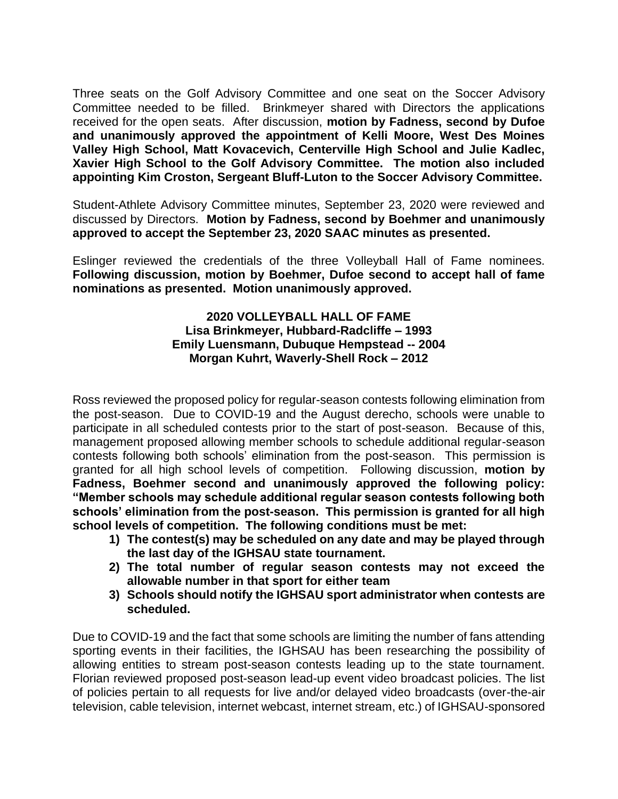Three seats on the Golf Advisory Committee and one seat on the Soccer Advisory Committee needed to be filled. Brinkmeyer shared with Directors the applications received for the open seats. After discussion, **motion by Fadness, second by Dufoe and unanimously approved the appointment of Kelli Moore, West Des Moines Valley High School, Matt Kovacevich, Centerville High School and Julie Kadlec, Xavier High School to the Golf Advisory Committee. The motion also included appointing Kim Croston, Sergeant Bluff-Luton to the Soccer Advisory Committee.**

Student-Athlete Advisory Committee minutes, September 23, 2020 were reviewed and discussed by Directors. **Motion by Fadness, second by Boehmer and unanimously approved to accept the September 23, 2020 SAAC minutes as presented.**

Eslinger reviewed the credentials of the three Volleyball Hall of Fame nominees. **Following discussion, motion by Boehmer, Dufoe second to accept hall of fame nominations as presented. Motion unanimously approved.**

## **2020 VOLLEYBALL HALL OF FAME Lisa Brinkmeyer, Hubbard-Radcliffe – 1993 Emily Luensmann, Dubuque Hempstead -- 2004 Morgan Kuhrt, Waverly-Shell Rock – 2012**

Ross reviewed the proposed policy for regular-season contests following elimination from the post-season. Due to COVID-19 and the August derecho, schools were unable to participate in all scheduled contests prior to the start of post-season. Because of this, management proposed allowing member schools to schedule additional regular-season contests following both schools' elimination from the post-season. This permission is granted for all high school levels of competition. Following discussion, **motion by Fadness, Boehmer second and unanimously approved the following policy: "Member schools may schedule additional regular season contests following both schools' elimination from the post-season. This permission is granted for all high school levels of competition. The following conditions must be met:** 

- **1) The contest(s) may be scheduled on any date and may be played through the last day of the IGHSAU state tournament.**
- **2) The total number of regular season contests may not exceed the allowable number in that sport for either team**
- **3) Schools should notify the IGHSAU sport administrator when contests are scheduled.**

Due to COVID-19 and the fact that some schools are limiting the number of fans attending sporting events in their facilities, the IGHSAU has been researching the possibility of allowing entities to stream post-season contests leading up to the state tournament. Florian reviewed proposed post-season lead-up event video broadcast policies. The list of policies pertain to all requests for live and/or delayed video broadcasts (over-the-air television, cable television, internet webcast, internet stream, etc.) of IGHSAU-sponsored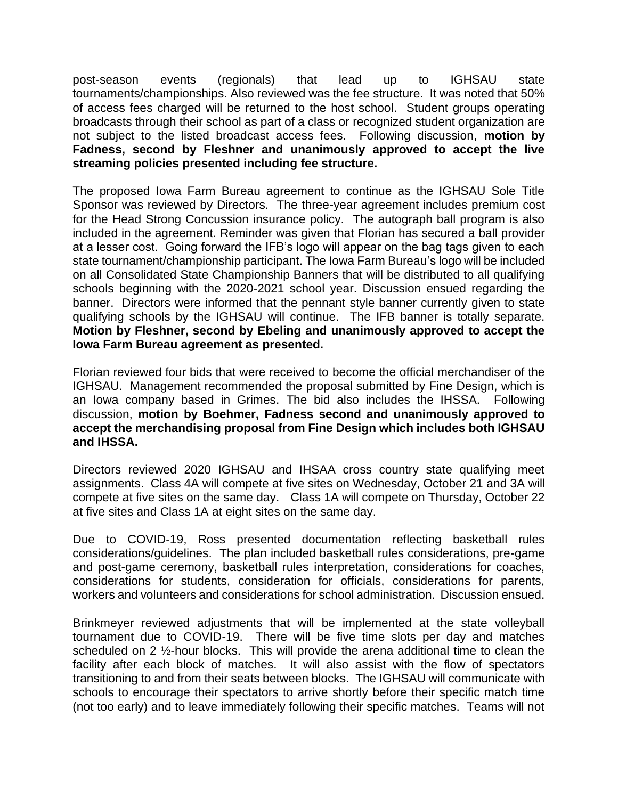post-season events (regionals) that lead up to IGHSAU state tournaments/championships. Also reviewed was the fee structure. It was noted that 50% of access fees charged will be returned to the host school. Student groups operating broadcasts through their school as part of a class or recognized student organization are not subject to the listed broadcast access fees. Following discussion, **motion by Fadness, second by Fleshner and unanimously approved to accept the live streaming policies presented including fee structure.**

The proposed Iowa Farm Bureau agreement to continue as the IGHSAU Sole Title Sponsor was reviewed by Directors. The three-year agreement includes premium cost for the Head Strong Concussion insurance policy. The autograph ball program is also included in the agreement. Reminder was given that Florian has secured a ball provider at a lesser cost. Going forward the IFB's logo will appear on the bag tags given to each state tournament/championship participant. The Iowa Farm Bureau's logo will be included on all Consolidated State Championship Banners that will be distributed to all qualifying schools beginning with the 2020-2021 school year. Discussion ensued regarding the banner. Directors were informed that the pennant style banner currently given to state qualifying schools by the IGHSAU will continue. The IFB banner is totally separate. **Motion by Fleshner, second by Ebeling and unanimously approved to accept the Iowa Farm Bureau agreement as presented.**

Florian reviewed four bids that were received to become the official merchandiser of the IGHSAU. Management recommended the proposal submitted by Fine Design, which is an Iowa company based in Grimes. The bid also includes the IHSSA. Following discussion, **motion by Boehmer, Fadness second and unanimously approved to accept the merchandising proposal from Fine Design which includes both IGHSAU and IHSSA.**

Directors reviewed 2020 IGHSAU and IHSAA cross country state qualifying meet assignments. Class 4A will compete at five sites on Wednesday, October 21 and 3A will compete at five sites on the same day. Class 1A will compete on Thursday, October 22 at five sites and Class 1A at eight sites on the same day.

Due to COVID-19, Ross presented documentation reflecting basketball rules considerations/guidelines. The plan included basketball rules considerations, pre-game and post-game ceremony, basketball rules interpretation, considerations for coaches, considerations for students, consideration for officials, considerations for parents, workers and volunteers and considerations for school administration. Discussion ensued.

Brinkmeyer reviewed adjustments that will be implemented at the state volleyball tournament due to COVID-19. There will be five time slots per day and matches scheduled on 2 ½-hour blocks. This will provide the arena additional time to clean the facility after each block of matches. It will also assist with the flow of spectators transitioning to and from their seats between blocks. The IGHSAU will communicate with schools to encourage their spectators to arrive shortly before their specific match time (not too early) and to leave immediately following their specific matches. Teams will not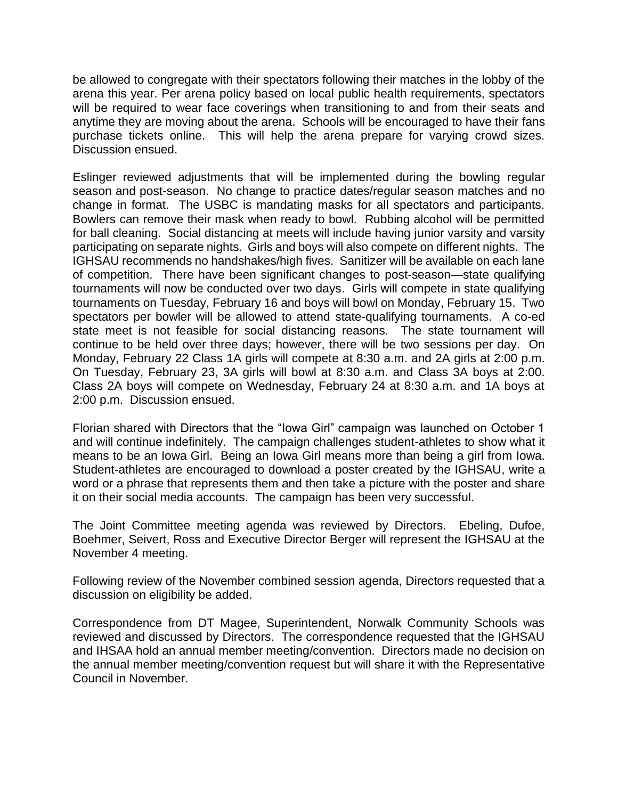be allowed to congregate with their spectators following their matches in the lobby of the arena this year. Per arena policy based on local public health requirements, spectators will be required to wear face coverings when transitioning to and from their seats and anytime they are moving about the arena. Schools will be encouraged to have their fans purchase tickets online. This will help the arena prepare for varying crowd sizes. Discussion ensued.

Eslinger reviewed adjustments that will be implemented during the bowling regular season and post-season. No change to practice dates/regular season matches and no change in format. The USBC is mandating masks for all spectators and participants. Bowlers can remove their mask when ready to bowl. Rubbing alcohol will be permitted for ball cleaning. Social distancing at meets will include having junior varsity and varsity participating on separate nights. Girls and boys will also compete on different nights. The IGHSAU recommends no handshakes/high fives. Sanitizer will be available on each lane of competition. There have been significant changes to post-season—state qualifying tournaments will now be conducted over two days. Girls will compete in state qualifying tournaments on Tuesday, February 16 and boys will bowl on Monday, February 15. Two spectators per bowler will be allowed to attend state-qualifying tournaments. A co-ed state meet is not feasible for social distancing reasons. The state tournament will continue to be held over three days; however, there will be two sessions per day. On Monday, February 22 Class 1A girls will compete at 8:30 a.m. and 2A girls at 2:00 p.m. On Tuesday, February 23, 3A girls will bowl at 8:30 a.m. and Class 3A boys at 2:00. Class 2A boys will compete on Wednesday, February 24 at 8:30 a.m. and 1A boys at 2:00 p.m. Discussion ensued.

Florian shared with Directors that the "Iowa Girl" campaign was launched on October 1 and will continue indefinitely. The campaign challenges student-athletes to show what it means to be an Iowa Girl. Being an Iowa Girl means more than being a girl from Iowa. Student-athletes are encouraged to download a poster created by the IGHSAU, write a word or a phrase that represents them and then take a picture with the poster and share it on their social media accounts. The campaign has been very successful.

The Joint Committee meeting agenda was reviewed by Directors. Ebeling, Dufoe, Boehmer, Seivert, Ross and Executive Director Berger will represent the IGHSAU at the November 4 meeting.

Following review of the November combined session agenda, Directors requested that a discussion on eligibility be added.

Correspondence from DT Magee, Superintendent, Norwalk Community Schools was reviewed and discussed by Directors. The correspondence requested that the IGHSAU and IHSAA hold an annual member meeting/convention. Directors made no decision on the annual member meeting/convention request but will share it with the Representative Council in November.